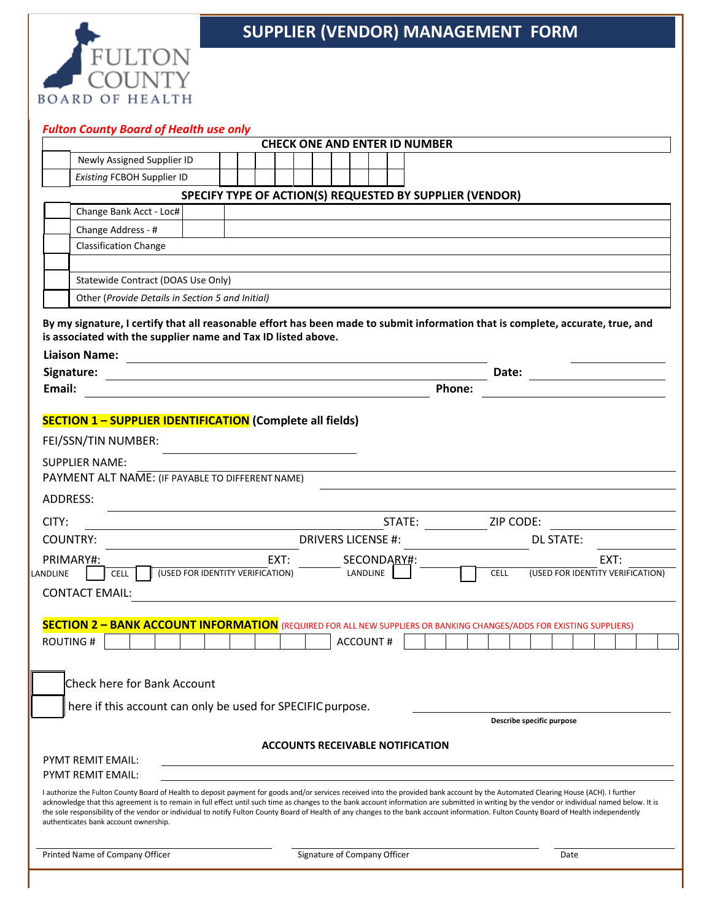

## **SUPPLIER (VENDOR) MANAGEMENT FORM**

|                                   |                                                                                                 |                                                                                                           | LANDLINE                                                                             |                                                                                                                                                                                                  | <b>CELL</b>                                                                                                                                                                                                                                                                                                                                                                               |                                                                                           |                                                                                |                                                                                                                                                                                                                                                                                                                                                             |
|-----------------------------------|-------------------------------------------------------------------------------------------------|-----------------------------------------------------------------------------------------------------------|--------------------------------------------------------------------------------------|--------------------------------------------------------------------------------------------------------------------------------------------------------------------------------------------------|-------------------------------------------------------------------------------------------------------------------------------------------------------------------------------------------------------------------------------------------------------------------------------------------------------------------------------------------------------------------------------------------|-------------------------------------------------------------------------------------------|--------------------------------------------------------------------------------|-------------------------------------------------------------------------------------------------------------------------------------------------------------------------------------------------------------------------------------------------------------------------------------------------------------------------------------------------------------|
|                                   |                                                                                                 |                                                                                                           |                                                                                      |                                                                                                                                                                                                  |                                                                                                                                                                                                                                                                                                                                                                                           |                                                                                           |                                                                                |                                                                                                                                                                                                                                                                                                                                                             |
|                                   |                                                                                                 |                                                                                                           |                                                                                      |                                                                                                                                                                                                  |                                                                                                                                                                                                                                                                                                                                                                                           |                                                                                           |                                                                                |                                                                                                                                                                                                                                                                                                                                                             |
|                                   |                                                                                                 |                                                                                                           |                                                                                      |                                                                                                                                                                                                  |                                                                                                                                                                                                                                                                                                                                                                                           |                                                                                           |                                                                                |                                                                                                                                                                                                                                                                                                                                                             |
|                                   |                                                                                                 |                                                                                                           |                                                                                      |                                                                                                                                                                                                  |                                                                                                                                                                                                                                                                                                                                                                                           |                                                                                           |                                                                                |                                                                                                                                                                                                                                                                                                                                                             |
|                                   |                                                                                                 |                                                                                                           |                                                                                      |                                                                                                                                                                                                  |                                                                                                                                                                                                                                                                                                                                                                                           |                                                                                           |                                                                                |                                                                                                                                                                                                                                                                                                                                                             |
|                                   |                                                                                                 |                                                                                                           |                                                                                      |                                                                                                                                                                                                  | I authorize the Fulton County Board of Health to deposit payment for goods and/or services received into the provided bank account by the Automated Clearing House (ACH). I further                                                                                                                                                                                                       |                                                                                           |                                                                                |                                                                                                                                                                                                                                                                                                                                                             |
|                                   |                                                                                                 |                                                                                                           |                                                                                      |                                                                                                                                                                                                  | acknowledge that this agreement is to remain in full effect until such time as changes to the bank account information are submitted in writing by the vendor or individual named below. It is<br>the sole responsibility of the vendor or individual to notify Fulton County Board of Health of any changes to the bank account information. Fulton County Board of Health independently |                                                                                           |                                                                                |                                                                                                                                                                                                                                                                                                                                                             |
| <b>Existing FCBOH Supplier ID</b> | Newly Assigned Supplier ID<br>Statewide Contract (DOAS Use Only)<br>Check here for Bank Account | <b>Fulton County Board of Health use only</b><br>Other (Provide Details in Section 5 and Initial)<br>EXT: | PAYMENT ALT NAME: (IF PAYABLE TO DIFFERENT NAME)<br>(USED FOR IDENTITY VERIFICATION) | is associated with the supplier name and Tax ID listed above.<br><b>SECTION 1 - SUPPLIER IDENTIFICATION (Complete all fields)</b><br>here if this account can only be used for SPECIFIC purpose. | STATE:<br><b>DRIVERS LICENSE #:</b><br>SECONDARY#:<br><b>ACCOUNT#</b>                                                                                                                                                                                                                                                                                                                     | <b>CHECK ONE AND ENTER ID NUMBER</b><br>Phone:<br><b>ACCOUNTS RECEIVABLE NOTIFICATION</b> | SPECIFY TYPE OF ACTION(S) REQUESTED BY SUPPLIER (VENDOR)<br>Date:<br>ZIP CODE: | By my signature, I certify that all reasonable effort has been made to submit information that is complete, accurate, true, and<br><b>DL STATE:</b><br>EXT:<br>(USED FOR IDENTITY VERIFICATION)<br><b>SECTION 2 - BANK ACCOUNT INFORMATION</b> (REQUIRED FOR ALL NEW SUPPLIERS OR BANKING CHANGES/ADDS FOR EXISTING SUPPLIERS)<br>Describe specific purpose |